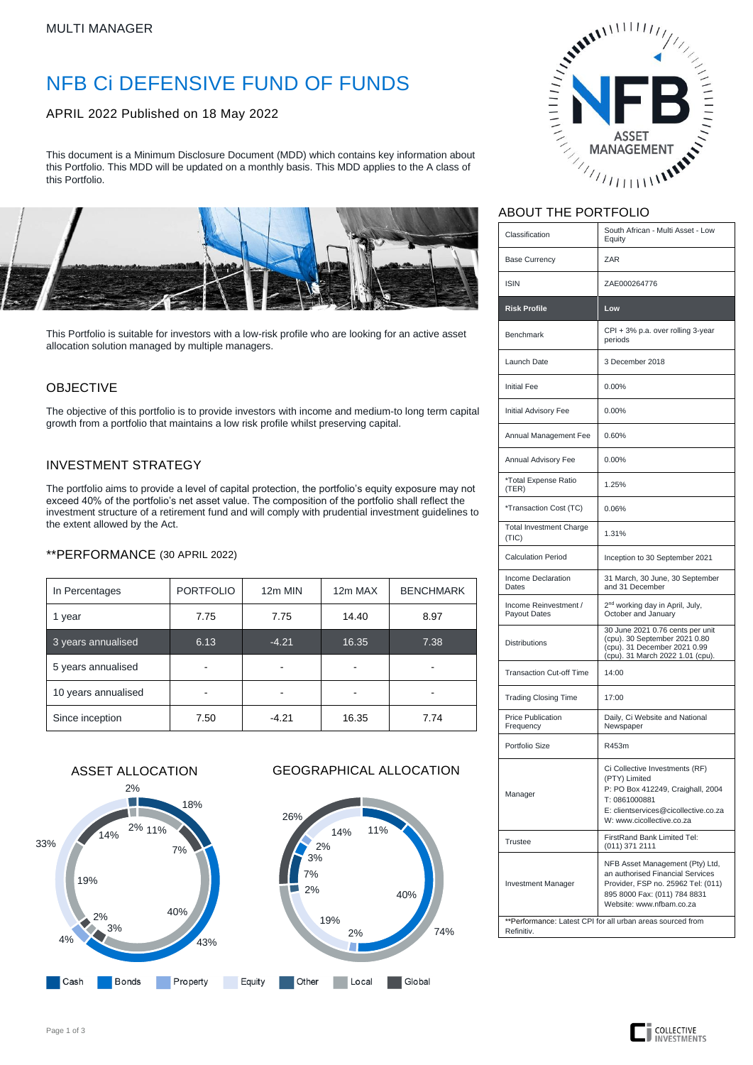# NFB Ci DEFENSIVE FUND OF FUNDS

APRIL 2022 Published on 18 May 2022

This document is a Minimum Disclosure Document (MDD) which contains key information about this Portfolio. This MDD will be updated on a monthly basis. This MDD applies to the A class of this Portfolio.



This Portfolio is suitable for investors with a low-risk profile who are looking for an active asset allocation solution managed by multiple managers.

### OBJECTIVE

The objective of this portfolio is to provide investors with income and medium-to long term capital growth from a portfolio that maintains a low risk profile whilst preserving capital.

### INVESTMENT STRATEGY

The portfolio aims to provide a level of capital protection, the portfolio's equity exposure may not exceed 40% of the portfolio's net asset value. The composition of the portfolio shall reflect the investment structure of a retirement fund and will comply with prudential investment guidelines to the extent allowed by the Act.

#### \*\*PERFORMANCE (30 APRIL 2022)

| In Percentages      | <b>PORTFOLIO</b> | 12m MIN | 12m MAX | <b>BENCHMARK</b> |  |
|---------------------|------------------|---------|---------|------------------|--|
| 1 year              | 7.75             | 7.75    | 14.40   | 8.97             |  |
| 3 years annualised  | 6.13             | $-4.21$ | 16.35   | 7.38             |  |
| 5 years annualised  |                  |         |         |                  |  |
| 10 years annualised |                  |         |         |                  |  |
| Since inception     | 7.50             | $-4.21$ | 16.35   | 7.74             |  |

40%

Global

74%





## ABOUT THE PORTFOLIO

| Classification                                                           | South African - Multi Asset - Low<br>Equity                                                                                                                                |  |  |  |  |
|--------------------------------------------------------------------------|----------------------------------------------------------------------------------------------------------------------------------------------------------------------------|--|--|--|--|
| <b>Base Currency</b>                                                     | ZAR                                                                                                                                                                        |  |  |  |  |
| <b>ISIN</b>                                                              | ZAE000264776                                                                                                                                                               |  |  |  |  |
| <b>Risk Profile</b>                                                      | Low                                                                                                                                                                        |  |  |  |  |
| <b>Benchmark</b>                                                         | CPI + 3% p.a. over rolling 3-year<br>periods                                                                                                                               |  |  |  |  |
| Launch Date                                                              | 3 December 2018                                                                                                                                                            |  |  |  |  |
| <b>Initial Fee</b>                                                       | 0.00%                                                                                                                                                                      |  |  |  |  |
| Initial Advisory Fee                                                     | 0.00%                                                                                                                                                                      |  |  |  |  |
| Annual Management Fee                                                    | 0.60%                                                                                                                                                                      |  |  |  |  |
| Annual Advisory Fee                                                      | 0.00%                                                                                                                                                                      |  |  |  |  |
| *Total Expense Ratio<br>(TER)                                            | 1.25%                                                                                                                                                                      |  |  |  |  |
| *Transaction Cost (TC)                                                   | 0.06%                                                                                                                                                                      |  |  |  |  |
| <b>Total Investment Charge</b><br>(TIC)                                  | 1.31%                                                                                                                                                                      |  |  |  |  |
| <b>Calculation Period</b>                                                | Inception to 30 September 2021                                                                                                                                             |  |  |  |  |
| Income Declaration<br>Dates                                              | 31 March, 30 June, 30 September<br>and 31 December                                                                                                                         |  |  |  |  |
| Income Reinvestment /<br>Payout Dates                                    | 2 <sup>nd</sup> working day in April, July,<br>October and January                                                                                                         |  |  |  |  |
| <b>Distributions</b>                                                     | 30 June 2021 0.76 cents per unit<br>(cpu). 30 September 2021 0.80<br>(cpu). 31 December 2021 0.99<br>(cpu). 31 March 2022 1.01 (cpu).                                      |  |  |  |  |
| <b>Transaction Cut-off Time</b>                                          | 14:00                                                                                                                                                                      |  |  |  |  |
| <b>Trading Closing Time</b>                                              | 17:00                                                                                                                                                                      |  |  |  |  |
| <b>Price Publication</b><br>Frequency                                    | Daily, Ci Website and National<br>Newspaper                                                                                                                                |  |  |  |  |
| Portfolio Size                                                           | R453m                                                                                                                                                                      |  |  |  |  |
| Manager                                                                  | Ci Collective Investments (RF)<br>(PTY) Limited<br>P: PO Box 412249, Craighall, 2004<br>T: 0861000881<br>E: clientservices@cicollective.co.za<br>W: www.cicollective.co.za |  |  |  |  |
| <b>Trustee</b>                                                           | FirstRand Bank Limited Tel:<br>(011) 371 2111                                                                                                                              |  |  |  |  |
| <b>Investment Manager</b>                                                | NFB Asset Management (Pty) Ltd,<br>an authorised Financial Services<br>Provider, FSP no. 25962 Tel: (011)<br>895 8000 Fax: (011) 784 8831<br>Website: www.nfbam.co.za      |  |  |  |  |
| **Performance: Latest CPI for all urban areas sourced from<br>Refinitiv. |                                                                                                                                                                            |  |  |  |  |

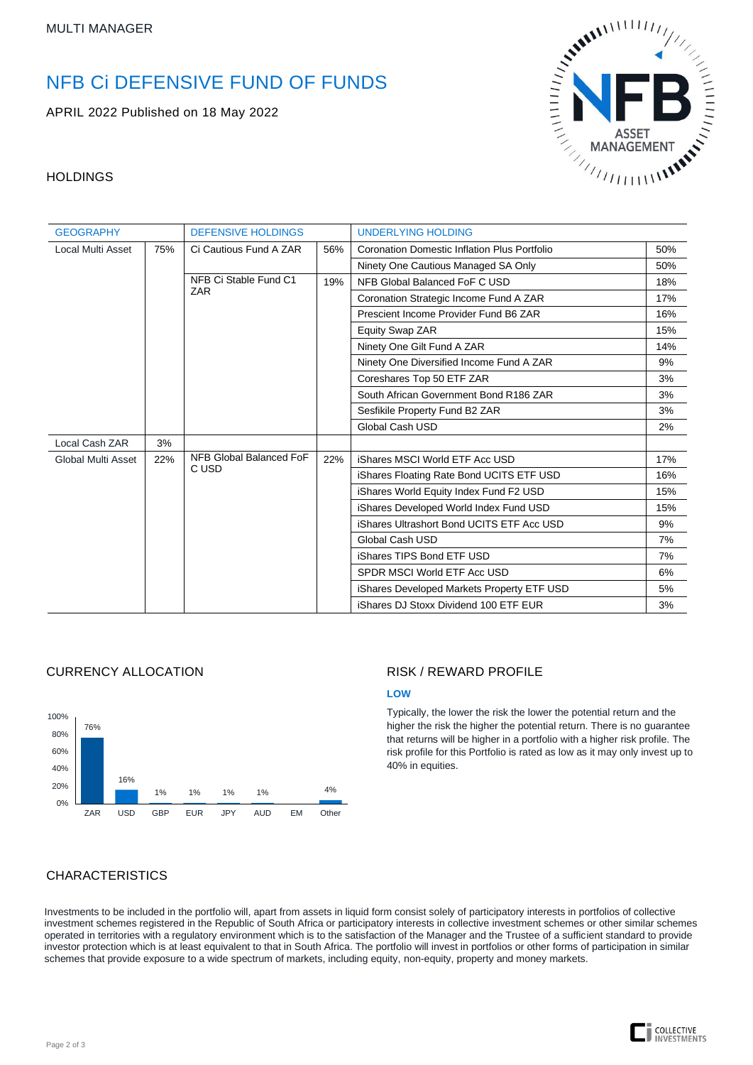# NFB Ci DEFENSIVE FUND OF FUNDS

APRIL 2022 Published on 18 May 2022



## **HOLDINGS**

| <b>GEOGRAPHY</b>   |     | <b>DEFENSIVE HOLDINGS</b>           |     | <b>UNDERLYING HOLDING</b>                           |     |  |
|--------------------|-----|-------------------------------------|-----|-----------------------------------------------------|-----|--|
| Local Multi Asset  | 75% | Ci Cautious Fund A ZAR              | 56% | <b>Coronation Domestic Inflation Plus Portfolio</b> | 50% |  |
|                    |     |                                     |     | Ninety One Cautious Managed SA Only                 | 50% |  |
|                    |     | NFB Ci Stable Fund C1<br><b>ZAR</b> | 19% | NFB Global Balanced FoF C USD                       | 18% |  |
|                    |     |                                     |     | Coronation Strategic Income Fund A ZAR              | 17% |  |
|                    |     |                                     |     | Prescient Income Provider Fund B6 ZAR               | 16% |  |
|                    |     |                                     |     | Equity Swap ZAR                                     | 15% |  |
|                    |     |                                     |     | Ninety One Gilt Fund A ZAR                          | 14% |  |
|                    |     |                                     |     | Ninety One Diversified Income Fund A ZAR            | 9%  |  |
|                    |     |                                     |     | Coreshares Top 50 ETF ZAR                           | 3%  |  |
|                    |     |                                     |     | South African Government Bond R186 ZAR              | 3%  |  |
|                    |     |                                     |     | Sesfikile Property Fund B2 ZAR                      | 3%  |  |
|                    |     |                                     |     | Global Cash USD                                     | 2%  |  |
| Local Cash ZAR     | 3%  |                                     |     |                                                     |     |  |
| Global Multi Asset | 22% | NFB Global Balanced FoF<br>C USD    | 22% | iShares MSCI World ETF Acc USD                      | 17% |  |
|                    |     |                                     |     | iShares Floating Rate Bond UCITS ETF USD            | 16% |  |
|                    |     |                                     |     | iShares World Equity Index Fund F2 USD              | 15% |  |
|                    |     |                                     |     | iShares Developed World Index Fund USD              | 15% |  |
|                    |     |                                     |     | iShares Ultrashort Bond UCITS ETF Acc USD           | 9%  |  |
|                    |     |                                     |     | Global Cash USD                                     | 7%  |  |
|                    |     |                                     |     | iShares TIPS Bond ETF USD                           | 7%  |  |
|                    |     |                                     |     | SPDR MSCI World ETF Acc USD                         | 6%  |  |
|                    |     |                                     |     | iShares Developed Markets Property ETF USD          | 5%  |  |
|                    |     |                                     |     | iShares DJ Stoxx Dividend 100 ETF EUR               | 3%  |  |

#### CURRENCY ALLOCATION



### RISK / REWARD PROFILE

#### **LOW**

Typically, the lower the risk the lower the potential return and the higher the risk the higher the potential return. There is no guarantee that returns will be higher in a portfolio with a higher risk profile. The risk profile for this Portfolio is rated as low as it may only invest up to 40% in equities.

# CHARACTERISTICS

Investments to be included in the portfolio will, apart from assets in liquid form consist solely of participatory interests in portfolios of collective investment schemes registered in the Republic of South Africa or participatory interests in collective investment schemes or other similar schemes operated in territories with a regulatory environment which is to the satisfaction of the Manager and the Trustee of a sufficient standard to provide investor protection which is at least equivalent to that in South Africa. The portfolio will invest in portfolios or other forms of participation in similar schemes that provide exposure to a wide spectrum of markets, including equity, non-equity, property and money markets.